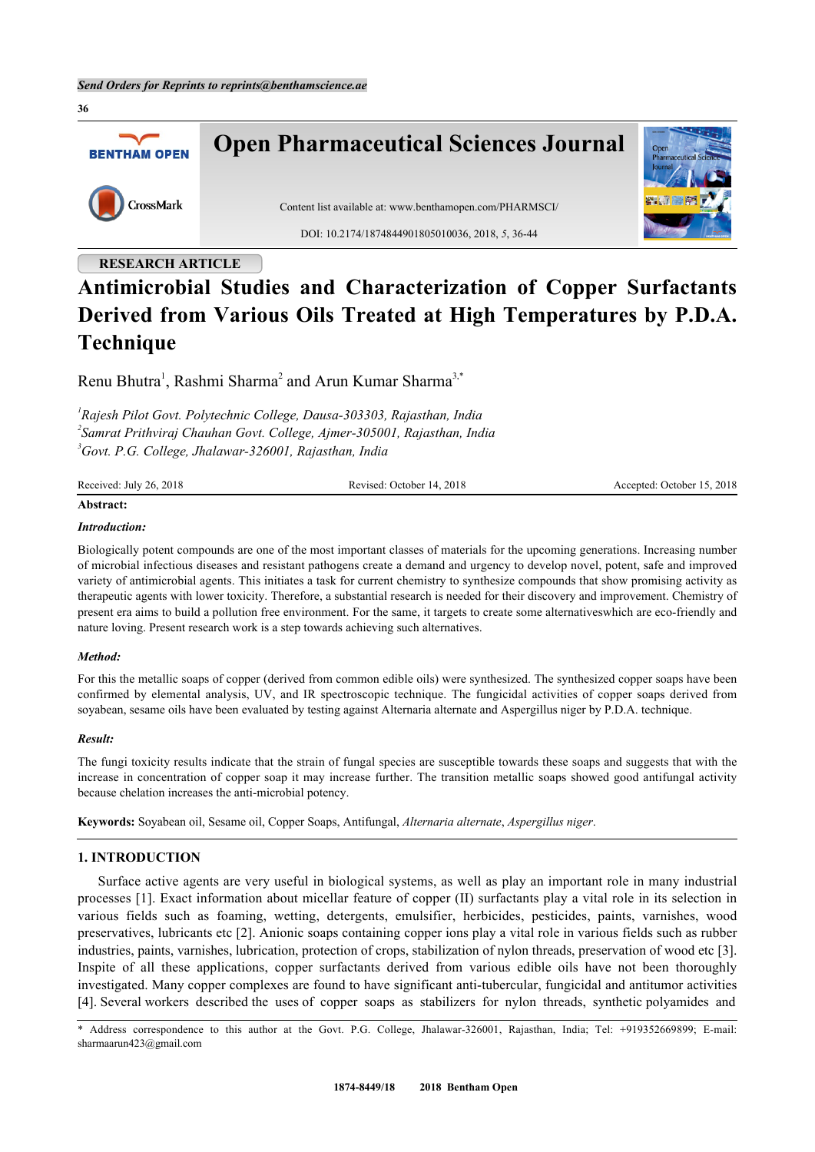**Open Pharmaceutical Sciences Journal BENTHAM OPEN** CrossMark Content list available at: [www.benthamopen.com/PHARMSCI/](http://www.benthamopen.com/PHARMSCI/) DOI: [10.2174/1874844901805010036](http://dx.doi.org/10.2174/1874844901805010036), 2018, *5*, 36-44 **RESEARCH ARTICLE**

# **Antimicrobial Studies and Characterization of Copper Surfactants Derived from Various Oils Treated at High Temperatures by P.D.A. Technique**

Renu Bhutra<sup>[1](#page-0-0)</sup>, Rashmi Sharma<sup>[2](#page-0-1)</sup> and Arun Kumar Sharma<sup>[3,](#page-0-2)[\\*](#page-0-3)</sup>

<span id="page-0-1"></span><span id="page-0-0"></span>*1 Rajesh Pilot Govt. Polytechnic College, Dausa-303303, Rajasthan, India 2 Samrat Prithviraj Chauhan Govt. College, Ajmer-305001, Rajasthan, India <sup>3</sup>Govt. P.G. College, Jhalawar-326001, Rajasthan, India*

<span id="page-0-2"></span>

| Received: July 26, 2018 | Revised: October 14, 2018 | Accepted: October 15, 2018 |
|-------------------------|---------------------------|----------------------------|
|                         |                           |                            |

## **Abstract:**

**36**

#### *Introduction:*

Biologically potent compounds are one of the most important classes of materials for the upcoming generations. Increasing number of microbial infectious diseases and resistant pathogens create a demand and urgency to develop novel, potent, safe and improved variety of antimicrobial agents. This initiates a task for current chemistry to synthesize compounds that show promising activity as therapeutic agents with lower toxicity. Therefore, a substantial research is needed for their discovery and improvement. Chemistry of present era aims to build a pollution free environment. For the same, it targets to create some alternativeswhich are eco-friendly and nature loving. Present research work is a step towards achieving such alternatives.

#### *Method:*

For this the metallic soaps of copper (derived from common edible oils) were synthesized. The synthesized copper soaps have been confirmed by elemental analysis, UV, and IR spectroscopic technique. The fungicidal activities of copper soaps derived from soyabean, sesame oils have been evaluated by testing against Alternaria alternate and Aspergillus niger by P.D.A. technique.

#### *Result:*

The fungi toxicity results indicate that the strain of fungal species are susceptible towards these soaps and suggests that with the increase in concentration of copper soap it may increase further. The transition metallic soaps showed good antifungal activity because chelation increases the anti-microbial potency.

**Keywords:** Soyabean oil, Sesame oil, Copper Soaps, Antifungal, *Alternaria alternate*, *Aspergillus niger*.

## **1. INTRODUCTION**

Surface active agents are very useful in biological systems, as well as play an important role in many industrial processes [[1\]](#page-7-0). Exact information about micellar feature of copper (II) surfactants play a vital role in its selection in various fields such as foaming, wetting, detergents, emulsifier, herbicides, pesticides, paints, varnishes, wood preservatives, lubricants etc [[2\]](#page-7-1). Anionic soaps containing copper ions play a vital role in various fields such as rubber industries, paints, varnishes, lubrication, protection of crops, stabilization of nylon threads, preservation of wood etc [[3\]](#page-7-2). Inspite of all these applications, copper surfactants derived from various edible oils have not been thoroughly investigated. Many copper complexes are found to have significant anti-tubercular, fungicidal and antitumor activities [\[4](#page-7-3)]. Several workers described the uses of copper soaps as stabilizers for nylon threads, synthetic polyamides and

<span id="page-0-3"></span>\* Address correspondence to this author at the Govt. P.G. College, Jhalawar-326001, Rajasthan, India; Tel: +919352669899; E-mail: [sharmaarun423@gmail.com](mailto:sharmaarun423@gmail.com)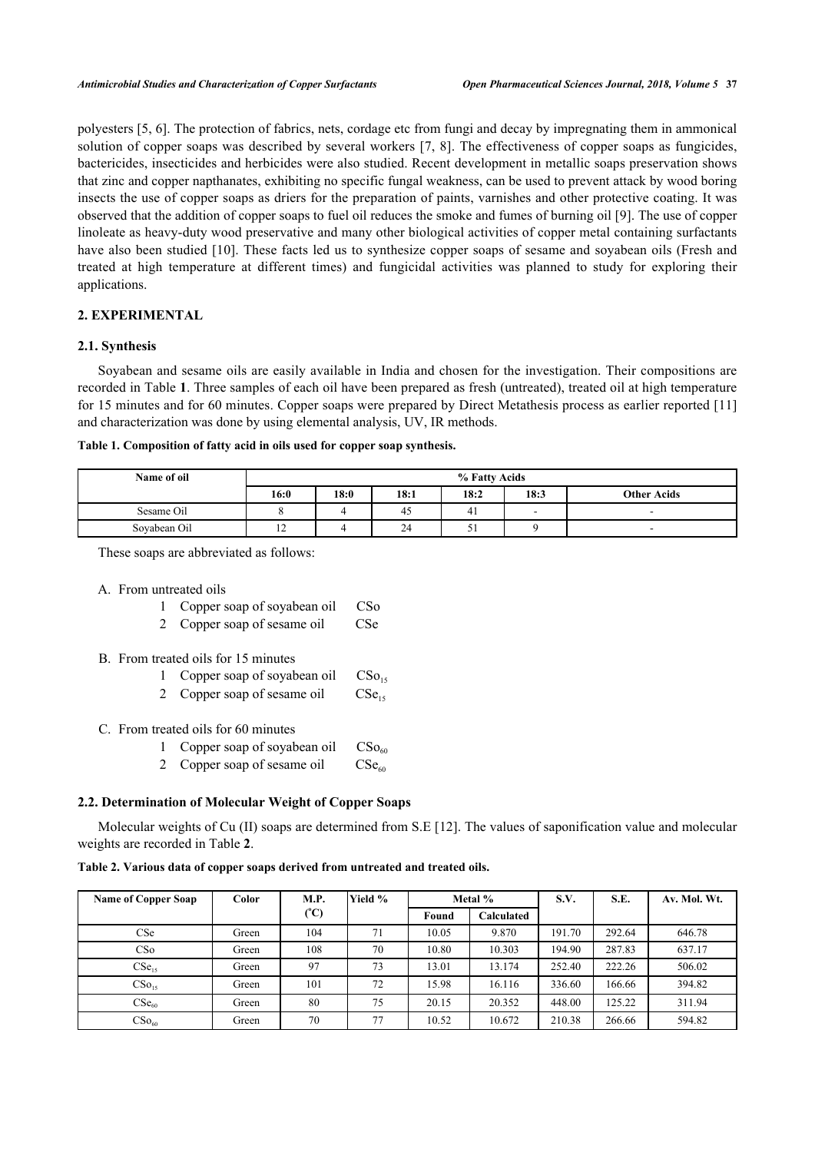polyesters [\[5,](#page-7-4) [6\]](#page-7-5). The protection of fabrics, nets, cordage etc from fungi and decay by impregnating them in ammonical solution of copper soaps was described by several workers [\[7](#page-7-6), [8](#page-7-7)]. The effectiveness of copper soaps as fungicides, bactericides, insecticides and herbicides were also studied. Recent development in metallic soaps preservation shows that zinc and copper napthanates, exhibiting no specific fungal weakness, can be used to prevent attack by wood boring insects the use of copper soaps as driers for the preparation of paints, varnishes and other protective coating. It was observed that the addition of copper soaps to fuel oil reduces the smoke and fumes of burning oil [[9\]](#page-7-8). The use of copper linoleate as heavy-duty wood preservative and many other biological activities of copper metal containing surfactants have also been studied [\[10\]](#page-7-9). These facts led us to synthesize copper soaps of sesame and soyabean oils (Fresh and treated at high temperature at different times) and fungicidal activities was planned to study for exploring their applications.

## **2. EXPERIMENTAL**

## **2.1. Synthesis**

Soyabean and sesame oils are easily available in India and chosen for the investigation. Their compositions are recorded in Table **[1](#page-1-0)**. Three samples of each oil have been prepared as fresh (untreated), treated oil at high temperature for 15 minutes and for 60 minutes. Copper soaps were prepared by Direct Metathesis process as earlier reported [[11](#page-8-0)] and characterization was done by using elemental analysis, UV, IR methods.

<span id="page-1-0"></span>

|  | Table 1. Composition of fatty acid in oils used for copper soap synthesis. |  |
|--|----------------------------------------------------------------------------|--|
|  |                                                                            |  |

| Name of oil  |                | % Fatty Acids |      |                |      |                    |  |  |  |
|--------------|----------------|---------------|------|----------------|------|--------------------|--|--|--|
|              | 16:0           | 18:0          | 18:1 | 18:2           | 18:3 | <b>Other Acids</b> |  |  |  |
| Sesame Oil   |                |               | 40   | 4 <sub>1</sub> |      |                    |  |  |  |
| Sovabean Oil | $\overline{1}$ |               | 24   | ◡              |      | -                  |  |  |  |

These soaps are abbreviated as follows:

- A. From untreated oils
	- 1 Copper soap of soyabean oil CSo
	- 2 Copper soap of sesame oil CSe
- B. From treated oils for 15 minutes
	- 1 Copper soap of soyabean oil  $CSo<sub>15</sub>$
	- 2 Copper soap of sesame oil  $CSe<sub>15</sub>$
- C. From treated oils for 60 minutes
	- 1 Copper soap of soyabean oil  $CSo_{60}$
	- 2 Copper soap of sesame oil  $CSe_{60}$

## **2.2. Determination of Molecular Weight of Copper Soaps**

Molecular weights of Cu (II) soaps are determined from S.E [[12](#page-8-1)]. The values of saponification value and molecular weights are recorded in Table **[2](#page-1-1)**.

#### <span id="page-1-1"></span>**Table 2. Various data of copper soaps derived from untreated and treated oils.**

| <b>Name of Copper Soap</b> | Color | <b>M.P.</b>           | Yield % |       | Metal %    | S.V.   | S.E.   | Av. Mol. Wt. |
|----------------------------|-------|-----------------------|---------|-------|------------|--------|--------|--------------|
|                            |       | $({}^{\circ}{\rm C})$ |         | Found | Calculated |        |        |              |
| CSe                        | Green | 104                   | 71      | 10.05 | 9.870      | 191.70 | 292.64 | 646.78       |
| CS0                        | Green | 108                   | 70      | 10.80 | 10.303     | 194.90 | 287.83 | 637.17       |
| CSe <sub>15</sub>          | Green | 97                    | 73      | 13.01 | 13.174     | 252.40 | 222.26 | 506.02       |
| $CSo_{15}$                 | Green | 101                   | 72      | 15.98 | 16.116     | 336.60 | 166.66 | 394.82       |
| CSe <sub>60</sub>          | Green | 80                    | 75      | 20.15 | 20.352     | 448.00 | 125.22 | 311.94       |
| $CSo_{60}$                 | Green | 70                    | 77      | 10.52 | 10.672     | 210.38 | 266.66 | 594.82       |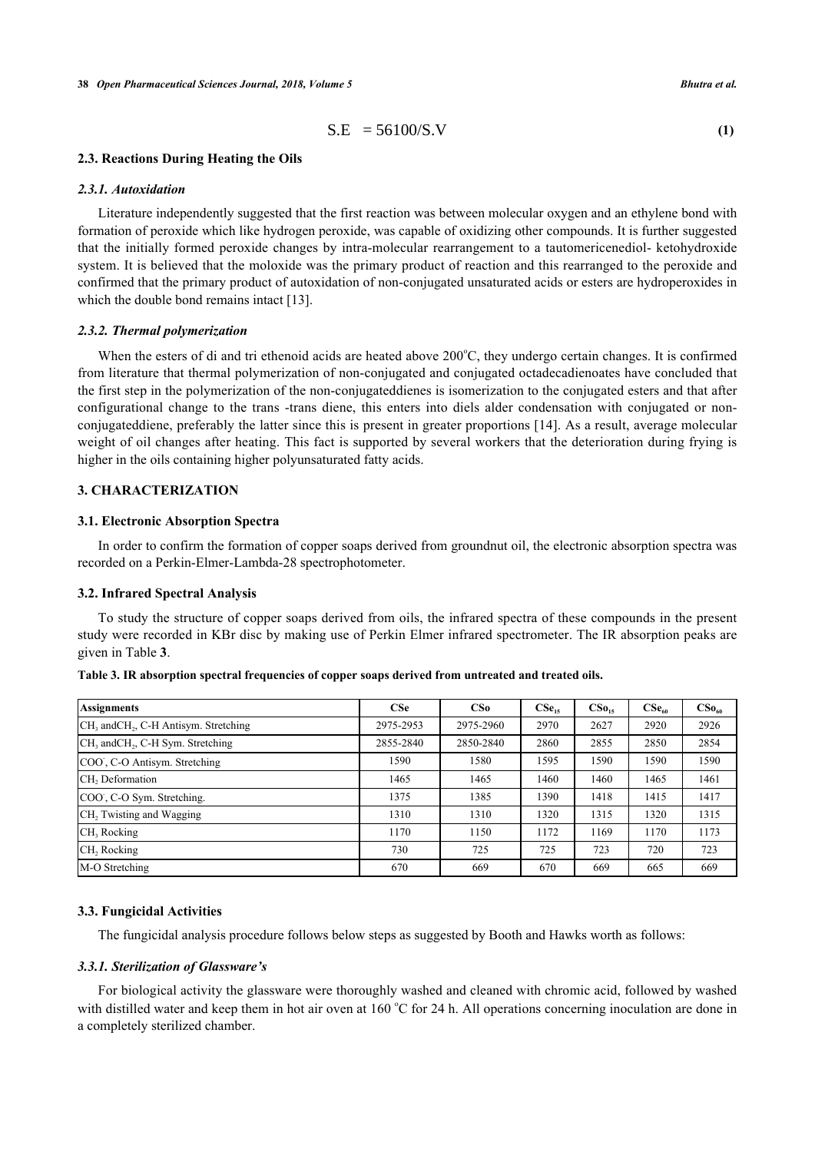$$
S.E = 56100/S.V
$$
 (1)

## **2.3. Reactions During Heating the Oils**

## *2.3.1. Autoxidation*

Literature independently suggested that the first reaction was between molecular oxygen and an ethylene bond with formation of peroxide which like hydrogen peroxide, was capable of oxidizing other compounds. It is further suggested that the initially formed peroxide changes by intra-molecular rearrangement to a tautomericenediol- ketohydroxide system. It is believed that the moloxide was the primary product of reaction and this rearranged to the peroxide and confirmed that the primary product of autoxidation of non-conjugated unsaturated acids or esters are hydroperoxides in which the double bond remains intact [[13\]](#page-8-2).

#### *2.3.2. Thermal polymerization*

When the esters of di and tri ethenoid acids are heated above  $200^{\circ}$ C, they undergo certain changes. It is confirmed from literature that thermal polymerization of non-conjugated and conjugated octadecadienoates have concluded that the first step in the polymerization of the non-conjugateddienes is isomerization to the conjugated esters and that after configurational change to the trans -trans diene, this enters into diels alder condensation with conjugated or nonconjugateddiene, preferably the latter since this is present in greater proportions [[14](#page-8-3)]. As a result, average molecular weight of oil changes after heating. This fact is supported by several workers that the deterioration during frying is higher in the oils containing higher polyunsaturated fatty acids.

## **3. CHARACTERIZATION**

#### **3.1. Electronic Absorption Spectra**

In order to confirm the formation of copper soaps derived from groundnut oil, the electronic absorption spectra was recorded on a Perkin-Elmer-Lambda-28 spectrophotometer.

#### **3.2. Infrared Spectral Analysis**

To study the structure of copper soaps derived from oils, the infrared spectra of these compounds in the present study were recorded in KBr disc by making use of Perkin Elmer infrared spectrometer. The IR absorption peaks are given in Table **[3](#page-2-0)**.

| <b>Assignments</b>                                            | <b>CSe</b> | CS <sub>o</sub> | $CSe_{15}$ | CS <sub>0.5</sub> | CSe <sub>60</sub> | $CS_{\mathbf{0}_{60}}$ |
|---------------------------------------------------------------|------------|-----------------|------------|-------------------|-------------------|------------------------|
| CH <sub>3</sub> and CH <sub>2</sub> , C-H Antisym. Stretching | 2975-2953  | 2975-2960       | 2970       | 2627              | 2920              | 2926                   |
| CH <sub>3</sub> and CH <sub>2</sub> , C-H Sym. Stretching     | 2855-2840  | 2850-2840       | 2860       | 2855              | 2850              | 2854                   |
| COO, C-O Antisym. Stretching                                  | 1590       | 1580            | 1595       | 1590              | 1590              | 1590                   |
| CH <sub>2</sub> Deformation                                   | 1465       | 1465            | 1460       | 1460              | 1465              | 1461                   |
| COO, C-O Sym. Stretching.                                     | 1375       | 1385            | 1390       | 1418              | 1415              | 1417                   |
| CH <sub>2</sub> Twisting and Wagging                          | 1310       | 1310            | 1320       | 1315              | 1320              | 1315                   |
| CH <sub>3</sub> Rocking                                       | 1170       | 1150            | 1172       | 169               | 1170              | 1173                   |
| CH <sub>2</sub> , Rocking                                     | 730        | 725             | 725        | 723               | 720               | 723                    |
| M-O Stretching                                                | 670        | 669             | 670        | 669               | 665               | 669                    |

<span id="page-2-0"></span>**Table 3. IR absorption spectral frequencies of copper soaps derived from untreated and treated oils.**

#### **3.3. Fungicidal Activities**

The fungicidal analysis procedure follows below steps as suggested by Booth and Hawks worth as follows:

#### *3.3.1. Sterilization of Glassware's*

For biological activity the glassware were thoroughly washed and cleaned with chromic acid, followed by washed with distilled water and keep them in hot air oven at 160  $^{\circ}$ C for 24 h. All operations concerning inoculation are done in a completely sterilized chamber.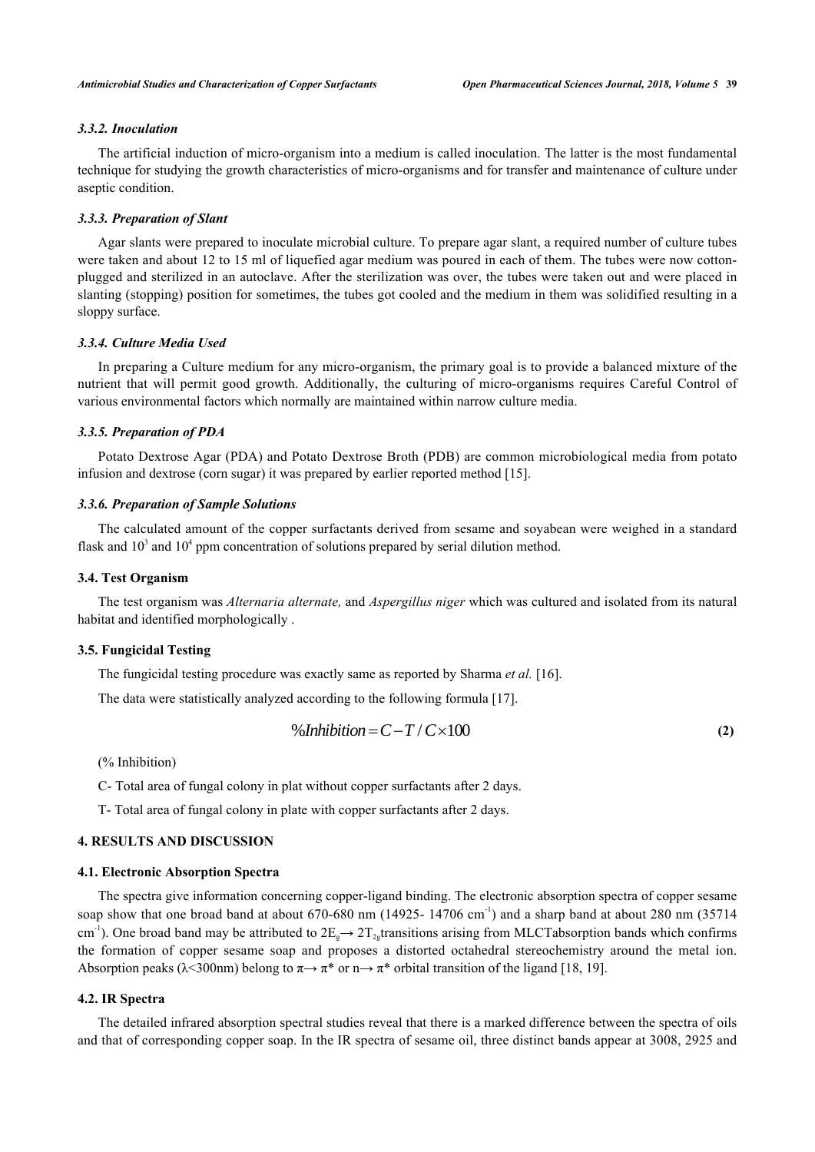## *3.3.2. Inoculation*

The artificial induction of micro-organism into a medium is called inoculation. The latter is the most fundamental technique for studying the growth characteristics of micro-organisms and for transfer and maintenance of culture under aseptic condition.

#### *3.3.3. Preparation of Slant*

Agar slants were prepared to inoculate microbial culture. To prepare agar slant, a required number of culture tubes were taken and about 12 to 15 ml of liquefied agar medium was poured in each of them. The tubes were now cottonplugged and sterilized in an autoclave. After the sterilization was over, the tubes were taken out and were placed in slanting (stopping) position for sometimes, the tubes got cooled and the medium in them was solidified resulting in a sloppy surface.

## *3.3.4. Culture Media Used*

In preparing a Culture medium for any micro-organism, the primary goal is to provide a balanced mixture of the nutrient that will permit good growth. Additionally, the culturing of micro-organisms requires Careful Control of various environmental factors which normally are maintained within narrow culture media.

#### *3.3.5. Preparation of PDA*

Potato Dextrose Agar (PDA) and Potato Dextrose Broth (PDB) are common microbiological media from potato infusion and dextrose (corn sugar) it was prepared by earlier reported method [\[15](#page-8-4)].

## *3.3.6. Preparation of Sample Solutions*

The calculated amount of the copper surfactants derived from sesame and soyabean were weighed in a standard flask and  $10<sup>3</sup>$  and  $10<sup>4</sup>$  ppm concentration of solutions prepared by serial dilution method.

### **3.4. Test Organism**

The test organism was *Alternaria alternate,* and *Aspergillus niger* which was cultured and isolated from its natural habitat and identified morphologically .

## **3.5. Fungicidal Testing**

The fungicidal testing procedure was exactly same as reported by Sharma *et al.* [[16\]](#page-8-5).

The data were statistically analyzed according to the following formula [[17\]](#page-8-6).

$$
\% Inhibition = C - T / C \times 100 \tag{2}
$$

(% Inhibition)

C- Total area of fungal colony in plat without copper surfactants after 2 days.

T- Total area of fungal colony in plate with copper surfactants after 2 days.

#### **4. RESULTS AND DISCUSSION**

#### **4.1. Electronic Absorption Spectra**

The spectra give information concerning copper-ligand binding. The electronic absorption spectra of copper sesame soap show that one broad band at about 670-680 nm (14925-14706 cm<sup>-1</sup>) and a sharp band at about 280 nm (35714) cm<sup>-1</sup>). One broad band may be attributed to  $2E_g \rightarrow 2T_{2g}$ transitions arising from MLCTabsorption bands which confirms the formation of copper sesame soap and proposes a distorted octahedral stereochemistry around the metal ion. Absorption peaks ( $\lambda$ <300nm) belong to  $\pi \rightarrow \pi^*$  or  $n \rightarrow \pi^*$  orbital transition of the ligand [\[18](#page-8-7), [19](#page-8-8)].

#### **4.2. IR Spectra**

The detailed infrared absorption spectral studies reveal that there is a marked difference between the spectra of oils and that of corresponding copper soap. In the IR spectra of sesame oil, three distinct bands appear at 3008, 2925 and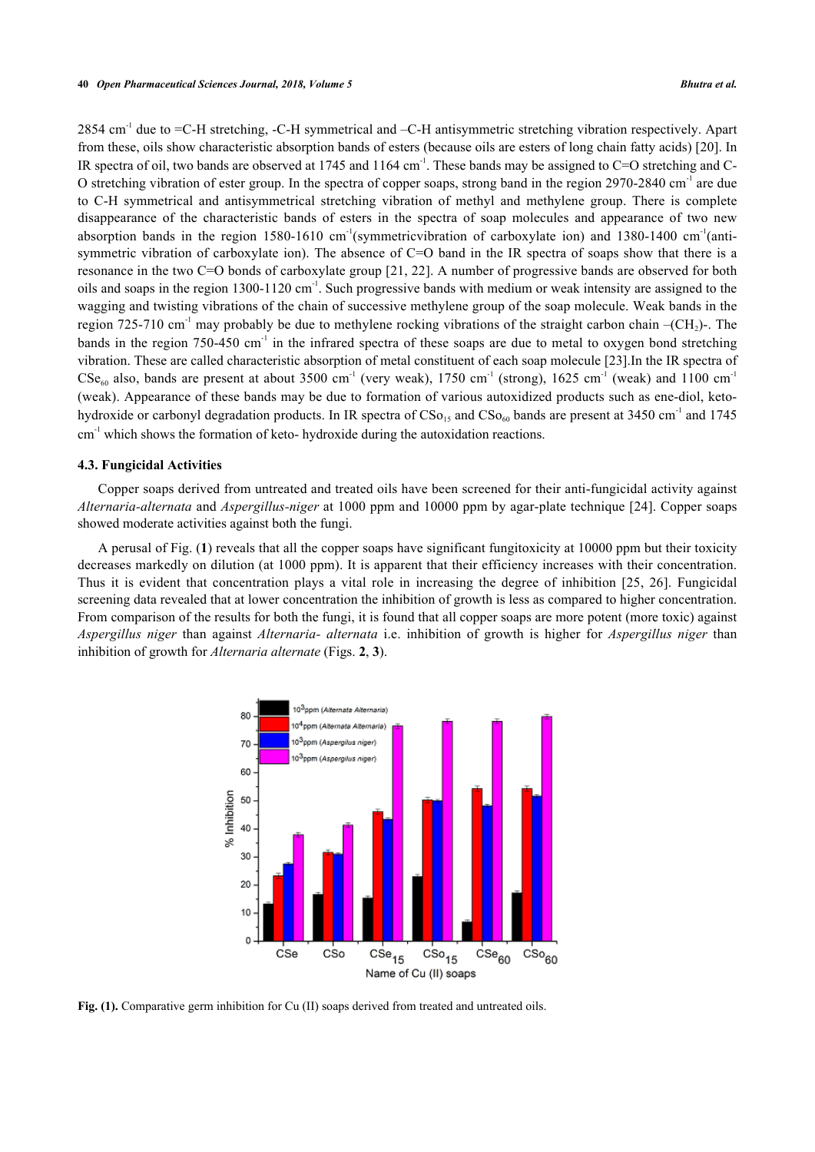2854 cm<sup>-1</sup> due to =C-H stretching, -C-H symmetrical and -C-H antisymmetric stretching vibration respectively. Apart from these, oils show characteristic absorption bands of esters (because oils are esters of long chain fatty acids) [[20\]](#page-8-9). In IR spectra of oil, two bands are observed at 1745 and  $1164 \text{ cm}^{-1}$ . These bands may be assigned to C=O stretching and C-O stretching vibration of ester group. In the spectra of copper soaps, strong band in the region 2970-2840 cm-1 are due to C-H symmetrical and antisymmetrical stretching vibration of methyl and methylene group. There is complete disappearance of the characteristic bands of esters in the spectra of soap molecules and appearance of two new absorption bands in the region 1580-1610 cm<sup>-1</sup>(symmetric vibration of carboxylate ion) and 1380-1400 cm<sup>-1</sup>(antisymmetric vibration of carboxylate ion). The absence of C=O band in the IR spectra of soaps show that there is a resonance in the two C=O bonds of carboxylate group [\[21](#page-8-10), [22\]](#page-8-11). A number of progressive bands are observed for both oils and soaps in the region 1300-1120 cm<sup>-1</sup>. Such progressive bands with medium or weak intensity are assigned to the wagging and twisting vibrations of the chain of successive methylene group of the soap molecule. Weak bands in the region 725-710 cm<sup>-1</sup> may probably be due to methylene rocking vibrations of the straight carbon chain  $-(CH_2)$ -. The bands in the region 750-450 cm<sup>-1</sup> in the infrared spectra of these soaps are due to metal to oxygen bond stretching vibration. These are called characteristic absorption of metal constituent of each soap molecule [[23](#page-8-12)].In the IR spectra of  $CSe<sub>60</sub>$  also, bands are present at about 3500 cm<sup>-1</sup> (very weak), 1750 cm<sup>-1</sup> (strong), 1625 cm<sup>-1</sup> (weak) and 1100 cm<sup>-1</sup> (weak). Appearance of these bands may be due to formation of various autoxidized products such as ene-diol, ketohydroxide or carbonyl degradation products. In IR spectra of  $CSo_{15}$  and  $CSo_{60}$  bands are present at 3450 cm<sup>-1</sup> and 1745 cm<sup>-1</sup> which shows the formation of keto- hydroxide during the autoxidation reactions.

#### **4.3. Fungicidal Activities**

Copper soaps derived from untreated and treated oils have been screened for their anti-fungicidal activity against *Alternaria-alternata* and *Aspergillus-niger* at 1000 ppm and 10000 ppm by agar-plate technique [\[24\]](#page-8-13). Copper soaps showed moderate activities against both the fungi.

<span id="page-4-0"></span>A perusal of Fig. (**[1](#page-4-0)**) reveals that all the copper soaps have significant fungitoxicity at 10000 ppm but their toxicity decreases markedly on dilution (at 1000 ppm). It is apparent that their efficiency increases with their concentration. Thus it is evident that concentration plays a vital role in increasing the degree of inhibition[[25,](#page-8-14) [26\]](#page-8-15). Fungicidal screening data revealed that at lower concentration the inhibition of growth is less as compared to higher concentration. From comparison of the results for both the fungi, it is found that all copper soaps are more potent (more toxic) against *Aspergillus niger* than against *Alternaria- alternata* i.e. inhibition of growth is higher for *Aspergillus niger* than inhibition of growth for *Alternaria alternate* (Figs. **[2](#page-5-0)**, **[3](#page-5-1)**).



Fig. (1). Comparative germ inhibition for Cu (II) soaps derived from treated and untreated oils.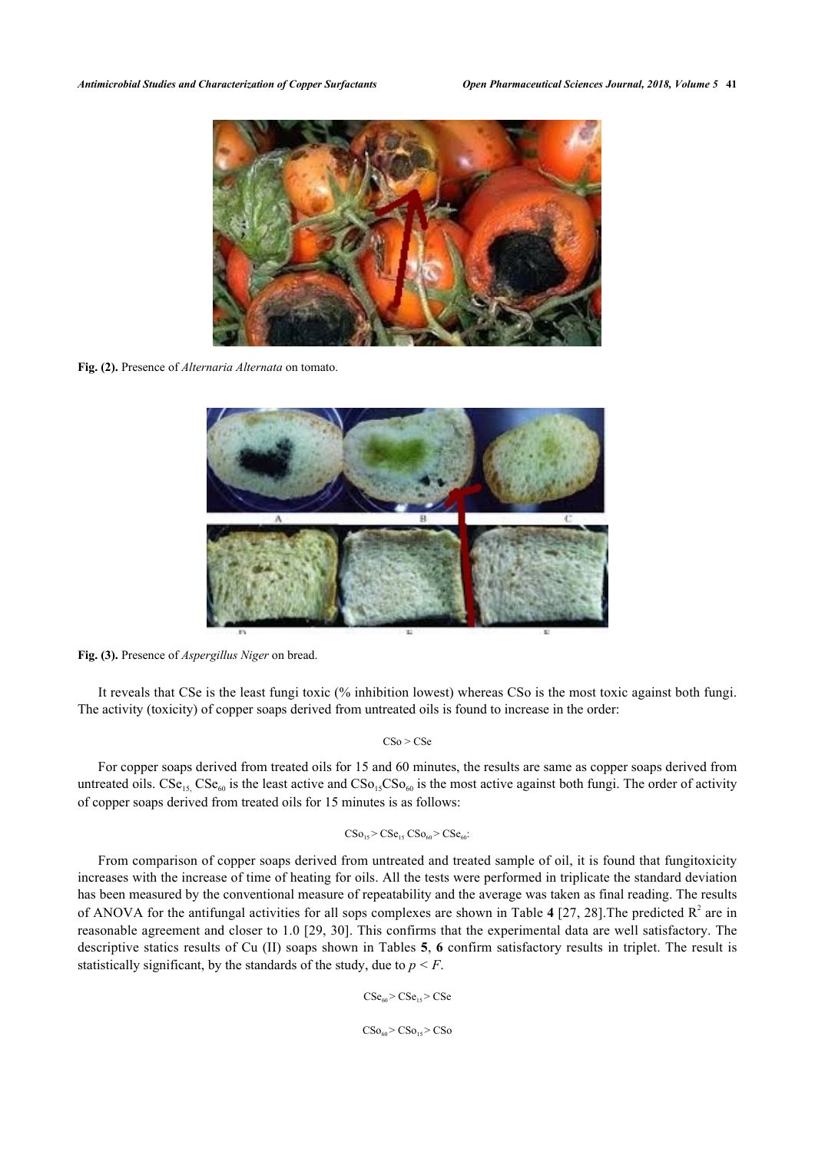<span id="page-5-0"></span>

**Fig. (2).** Presence of *Alternaria Alternata* on tomato.

<span id="page-5-1"></span>

**Fig. (3).** Presence of *Aspergillus Niger* on bread.

It reveals that CSe is the least fungi toxic (% inhibition lowest) whereas CSo is the most toxic against both fungi. The activity (toxicity) of copper soaps derived from untreated oils is found to increase in the order:

 $CSo > CSe$ 

For copper soaps derived from treated oils for 15 and 60 minutes, the results are same as copper soaps derived from untreated oils.  $CSe_{15}$ ,  $CSe_{60}$  is the least active and  $CSo_{15}CSo_{60}$  is the most active against both fungi. The order of activity of copper soaps derived from treated oils for 15 minutes is as follows:

#### $CSo_{15} > CSe_{15}$   $CSo_{60} > CSe_{60}$

<span id="page-5-2"></span>From comparison of copper soaps derived from untreated and treated sample of oil, it is found that fungitoxicity increases with the increase of time of heating for oils. All the tests were performed in triplicate the standard deviation has been measured by the conventional measure of repeatability and the average was taken as final reading. The results of ANOVA for the antifungal activities for all sops complexes are shown in Table [4](#page-5-2) [\[27](#page-8-16), [28](#page-8-17)]. The predicted  $R^2$  are in reasonable agreement and closer to 1.0 [[29,](#page-8-18) [30\]](#page-8-19). This confirms that the experimental data are well satisfactory. The descriptive statics results of Cu (II) soaps shown in Tables **[5](#page-6-0)**, **[6](#page-6-1)** confirm satisfactory results in triplet. The result is statistically significant, by the standards of the study, due to  $p \leq F$ .

$$
CSe_{60} > CSe_{15} > CSe
$$

 $CSo_{60}$  >  $CSo_{15}$  >  $CSo$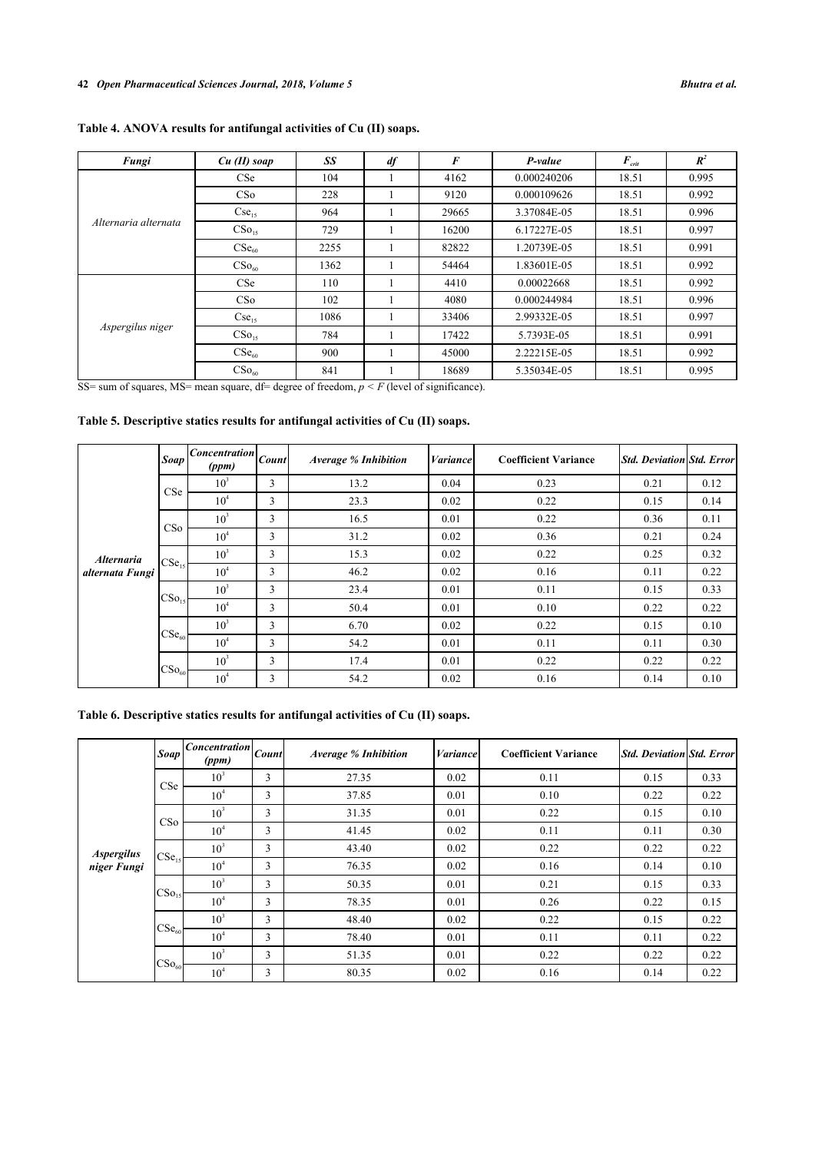# **Table 4. ANOVA results for antifungal activities of Cu (II) soaps.**

| Fungi                | $Cu$ (II) soap      | SS   | df | F     | P-value     | $F_{\text{crit}}$ | $R^2$ |
|----------------------|---------------------|------|----|-------|-------------|-------------------|-------|
| Alternaria alternata | CSe                 | 104  |    | 4162  | 0.000240206 | 18.51             | 0.995 |
|                      | CS <sub>o</sub>     | 228  |    | 9120  | 0.000109626 | 18.51             | 0.992 |
|                      | $Cse_{15}$          | 964  |    | 29665 | 3.37084E-05 | 18.51             | 0.996 |
|                      | CSo <sub>15</sub>   | 729  |    | 16200 | 6.17227E-05 | 18.51             | 0.997 |
|                      | $\mathrm{CSe}_{60}$ | 2255 |    | 82822 | 1.20739E-05 | 18.51             | 0.991 |
|                      | CSo <sub>60</sub>   | 1362 |    | 54464 | 1.83601E-05 | 18.51             | 0.992 |
| Aspergilus niger     | <b>CSe</b>          | 110  |    | 4410  | 0.00022668  | 18.51             | 0.992 |
|                      | CS <sub>o</sub>     | 102  |    | 4080  | 0.000244984 | 18.51             | 0.996 |
|                      | $Cse_{15}$          | 1086 |    | 33406 | 2.99332E-05 | 18.51             | 0.997 |
|                      | CSo <sub>15</sub>   | 784  |    | 17422 | 5.7393E-05  | 18.51             | 0.991 |
|                      | CSe <sub>60</sub>   | 900  |    | 45000 | 2.22215E-05 | 18.51             | 0.992 |
|                      | $CSo_{60}$          | 841  |    | 18689 | 5.35034E-05 | 18.51             | 0.995 |

SS= sum of squares, MS= mean square,  $df = degree of freedom, p \leq F$  (level of significance).

## <span id="page-6-0"></span>**Table 5. Descriptive statics results for antifungal activities of Cu (II) soaps.**

|                                      | Soap              | $\overline{Concentration} _{Count}$<br>(ppm) |   | <b>Average % Inhibition</b> | Variance | <b>Coefficient Variance</b> | Std. Deviation Std. Error |      |
|--------------------------------------|-------------------|----------------------------------------------|---|-----------------------------|----------|-----------------------------|---------------------------|------|
|                                      | <b>CSe</b>        | 10 <sup>3</sup>                              | 3 | 13.2                        | 0.04     | 0.23                        | 0.21                      | 0.12 |
|                                      |                   | 10 <sup>4</sup>                              | 3 | 23.3                        | 0.02     | 0.22                        | 0.15                      | 0.14 |
|                                      | CSo               | 10 <sup>3</sup>                              | 3 | 16.5                        | 0.01     | 0.22                        | 0.36                      | 0.11 |
|                                      |                   | $10^4$                                       | 3 | 31.2                        | 0.02     | 0.36                        | 0.21                      | 0.24 |
| <b>Alternaria</b><br>alternata Fungi | $CSe_{15}$        | 10 <sup>3</sup>                              | 3 | 15.3                        | 0.02     | 0.22                        | 0.25                      | 0.32 |
|                                      |                   | 10 <sup>4</sup>                              | 3 | 46.2                        | 0.02     | 0.16                        | 0.11                      | 0.22 |
|                                      | CSo <sub>15</sub> | 10 <sup>3</sup>                              | 3 | 23.4                        | 0.01     | 0.11                        | 0.15                      | 0.33 |
|                                      |                   | 10 <sup>4</sup>                              | 3 | 50.4                        | 0.01     | 0.10                        | 0.22                      | 0.22 |
|                                      | CSe <sub>60</sub> | 10 <sup>3</sup>                              | 3 | 6.70                        | 0.02     | 0.22                        | 0.15                      | 0.10 |
|                                      |                   | 10 <sup>4</sup>                              | 3 | 54.2                        | 0.01     | 0.11                        | 0.11                      | 0.30 |
|                                      | $CSo_{60}$        | 10 <sup>3</sup>                              | 3 | 17.4                        | 0.01     | 0.22                        | 0.22                      | 0.22 |
|                                      |                   | 10 <sup>4</sup>                              | 3 | 54.2                        | 0.02     | 0.16                        | 0.14                      | 0.10 |

# <span id="page-6-1"></span>**Table 6. Descriptive statics results for antifungal activities of Cu (II) soaps.**

|                                  | <b>Soap</b>       | $ Concentration _{Count} $<br>(ppm) |   | <b>Average % Inhibition</b> | <b><i>Variance</i></b> | <b>Coefficient Variance</b> | <b>Std. Deviation Std. Error</b> |      |
|----------------------------------|-------------------|-------------------------------------|---|-----------------------------|------------------------|-----------------------------|----------------------------------|------|
| <b>Aspergilus</b><br>niger Fungi |                   | 10 <sup>3</sup>                     | 3 | 27.35                       | 0.02                   | 0.11                        | 0.15                             | 0.33 |
|                                  | CSe               | 10 <sup>4</sup>                     | 3 | 37.85                       | 0.01                   | 0.10                        | 0.22                             | 0.22 |
|                                  | CSo               | 10 <sup>3</sup>                     | 3 | 31.35                       | 0.01                   | 0.22                        | 0.15                             | 0.10 |
|                                  |                   | 10 <sup>4</sup>                     | 3 | 41.45                       | 0.02                   | 0.11                        | 0.11                             | 0.30 |
|                                  | CSe <sub>15</sub> | 10 <sup>3</sup>                     | 3 | 43.40                       | 0.02                   | 0.22                        | 0.22                             | 0.22 |
|                                  |                   | 10 <sup>4</sup>                     | 3 | 76.35                       | 0.02                   | 0.16                        | 0.14                             | 0.10 |
|                                  | CSo <sub>15</sub> | 10 <sup>3</sup>                     | 3 | 50.35                       | 0.01                   | 0.21                        | 0.15                             | 0.33 |
|                                  |                   | 10 <sup>4</sup>                     | 3 | 78.35                       | 0.01                   | 0.26                        | 0.22                             | 0.15 |
|                                  |                   | 10 <sup>3</sup>                     | 3 | 48.40                       | 0.02                   | 0.22                        | 0.15                             | 0.22 |
|                                  | $CSe_{60}$        | 10 <sup>4</sup>                     | 3 | 78.40                       | 0.01                   | 0.11                        | 0.11                             | 0.22 |
|                                  | $CSo_{60}$        | 10 <sup>3</sup>                     | 3 | 51.35                       | 0.01                   | 0.22                        | 0.22                             | 0.22 |
|                                  |                   | 10 <sup>4</sup>                     | 3 | 80.35                       | 0.02                   | 0.16                        | 0.14                             | 0.22 |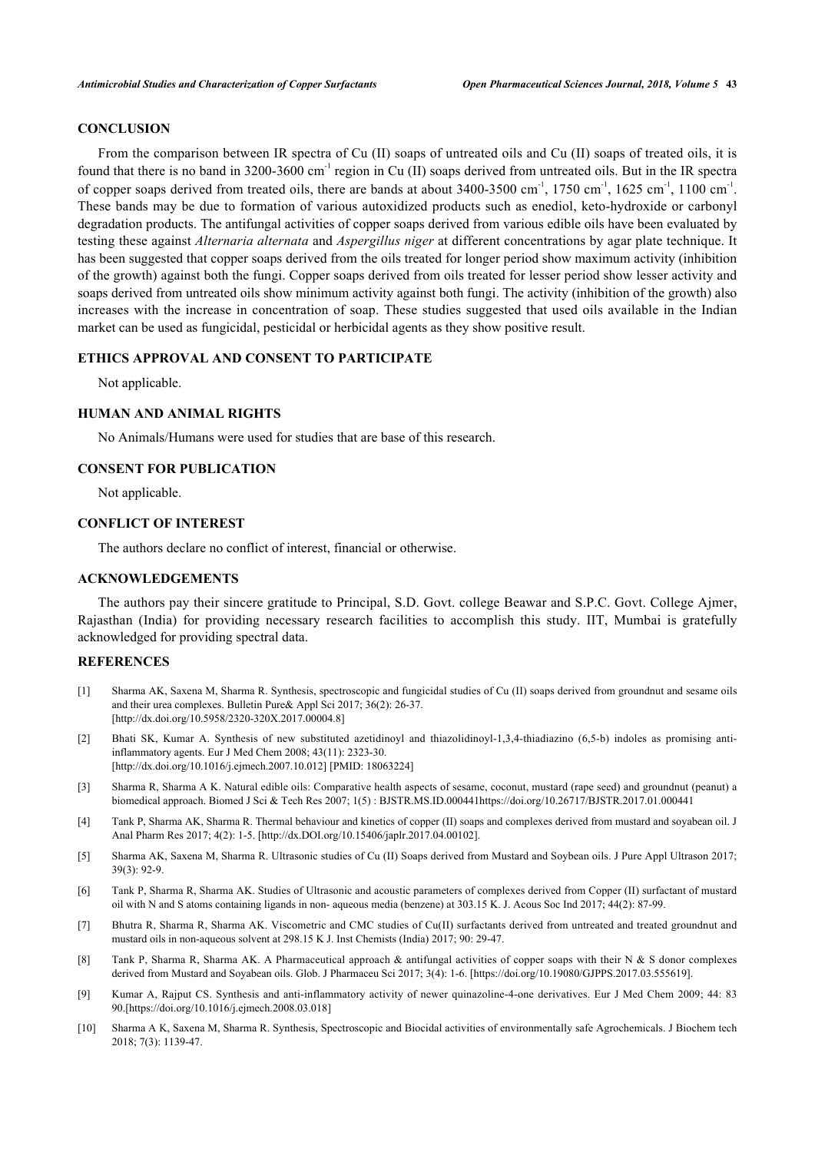## **CONCLUSION**

From the comparison between IR spectra of Cu (II) soaps of untreated oils and Cu (II) soaps of treated oils, it is found that there is no band in 3200-3600 cm<sup>-1</sup> region in Cu (II) soaps derived from untreated oils. But in the IR spectra of copper soaps derived from treated oils, there are bands at about  $3400-3500$  cm<sup>-1</sup>,  $1750$  cm<sup>-1</sup>,  $1625$  cm<sup>-1</sup>,  $1100$  cm<sup>-1</sup>. These bands may be due to formation of various autoxidized products such as enediol, keto-hydroxide or carbonyl degradation products. The antifungal activities of copper soaps derived from various edible oils have been evaluated by testing these against *Alternaria alternata* and *Aspergillus niger* at different concentrations by agar plate technique. It has been suggested that copper soaps derived from the oils treated for longer period show maximum activity (inhibition of the growth) against both the fungi. Copper soaps derived from oils treated for lesser period show lesser activity and soaps derived from untreated oils show minimum activity against both fungi. The activity (inhibition of the growth) also increases with the increase in concentration of soap. These studies suggested that used oils available in the Indian market can be used as fungicidal, pesticidal or herbicidal agents as they show positive result.

## **ETHICS APPROVAL AND CONSENT TO PARTICIPATE**

Not applicable.

## **HUMAN AND ANIMAL RIGHTS**

No Animals/Humans were used for studies that are base of this research.

#### **CONSENT FOR PUBLICATION**

Not applicable.

## **CONFLICT OF INTEREST**

The authors declare no conflict of interest, financial or otherwise.

## **ACKNOWLEDGEMENTS**

The authors pay their sincere gratitude to Principal, S.D. Govt. college Beawar and S.P.C. Govt. College Ajmer, Rajasthan (India) for providing necessary research facilities to accomplish this study. IIT, Mumbai is gratefully acknowledged for providing spectral data.

## **REFERENCES**

- <span id="page-7-0"></span>[1] Sharma AK, Saxena M, Sharma R. Synthesis, spectroscopic and fungicidal studies of Cu (II) soaps derived from groundnut and sesame oils and their urea complexes. Bulletin Pure& Appl Sci 2017; 36(2): 26-37. [\[http://dx.doi.org/10.5958/2320-320X.2017.00004.8](http://dx.doi.org/10.5958/2320-320X.2017.00004.8)]
- <span id="page-7-1"></span>[2] Bhati SK, Kumar A. Synthesis of new substituted azetidinoyl and thiazolidinoyl-1,3,4-thiadiazino (6,5-b) indoles as promising antiinflammatory agents. Eur J Med Chem 2008; 43(11): 2323-30. [\[http://dx.doi.org/10.1016/j.ejmech.2007.10.012](http://dx.doi.org/10.1016/j.ejmech.2007.10.012)] [PMID: [18063224\]](http://www.ncbi.nlm.nih.gov/pubmed/18063224)
- <span id="page-7-2"></span>[3] Sharma R, Sharma A K. Natural edible oils: Comparative health aspects of sesame, coconut, mustard (rape seed) and groundnut (peanut) a biomedical approach. Biomed J Sci & Tech Res 2007; 1(5) : BJSTR.MS.ID.000441https://doi.org/10.26717/BJSTR.2017.01.000441
- <span id="page-7-3"></span>[4] Tank P, Sharma AK, Sharma R. Thermal behaviour and kinetics of copper (II) soaps and complexes derived from mustard and soyabean oil. J Anal Pharm Res 2017; 4(2): 1-5. [http://dx.DOI.org/10.15406/japlr.2017.04.00102].
- <span id="page-7-4"></span>[5] Sharma AK, Saxena M, Sharma R. Ultrasonic studies of Cu (II) Soaps derived from Mustard and Soybean oils. J Pure Appl Ultrason 2017; 39(3): 92-9.
- <span id="page-7-5"></span>[6] Tank P, Sharma R, Sharma AK. Studies of Ultrasonic and acoustic parameters of complexes derived from Copper (II) surfactant of mustard oil with N and S atoms containing ligands in non- aqueous media (benzene) at 303.15 K. J. Acous Soc Ind 2017; 44(2): 87-99.
- <span id="page-7-6"></span>[7] Bhutra R, Sharma R, Sharma AK. Viscometric and CMC studies of Cu(II) surfactants derived from untreated and treated groundnut and mustard oils in non-aqueous solvent at 298.15 K J. Inst Chemists (India) 2017; 90: 29-47.
- <span id="page-7-7"></span>[8] Tank P, Sharma R, Sharma AK. A Pharmaceutical approach & antifungal activities of copper soaps with their N & S donor complexes derived from Mustard and Soyabean oils. Glob. J Pharmaceu Sci 2017; 3(4): 1-6. [https://doi.org/10.19080/GJPPS.2017.03.555619].
- <span id="page-7-8"></span>[9] Kumar A, Rajput CS. Synthesis and anti-inflammatory activity of newer quinazoline-4-one derivatives. Eur J Med Chem 2009; 44: 83 90.[https://doi.org/10.1016/j.ejmech.2008.03.018]
- <span id="page-7-9"></span>[10] Sharma A K, Saxena M, Sharma R. Synthesis, Spectroscopic and Biocidal activities of environmentally safe Agrochemicals. J Biochem tech 2018; 7(3): 1139-47.